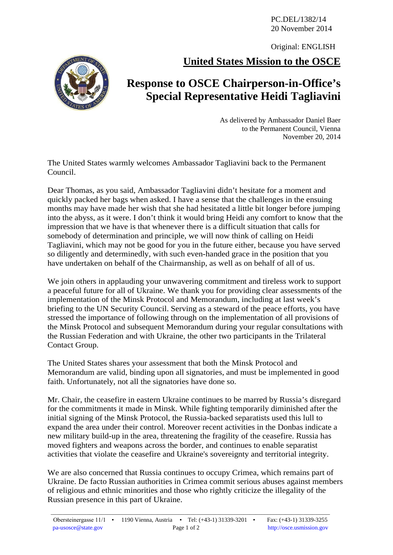PC.DEL/1382/14 20 November 2014

Original: ENGLISH

**United States Mission to the OSCE**



## **Response to OSCE Chairperson-in-Office's Special Representative Heidi Tagliavini**

As delivered by Ambassador Daniel Baer to the Permanent Council, Vienna November 20, 2014

The United States warmly welcomes Ambassador Tagliavini back to the Permanent Council.

Dear Thomas, as you said, Ambassador Tagliavini didn't hesitate for a moment and quickly packed her bags when asked. I have a sense that the challenges in the ensuing months may have made her wish that she had hesitated a little bit longer before jumping into the abyss, as it were. I don't think it would bring Heidi any comfort to know that the impression that we have is that whenever there is a difficult situation that calls for somebody of determination and principle, we will now think of calling on Heidi Tagliavini, which may not be good for you in the future either, because you have served so diligently and determinedly, with such even-handed grace in the position that you have undertaken on behalf of the Chairmanship, as well as on behalf of all of us.

We join others in applauding your unwavering commitment and tireless work to support a peaceful future for all of Ukraine. We thank you for providing clear assessments of the implementation of the Minsk Protocol and Memorandum, including at last week's briefing to the UN Security Council. Serving as a steward of the peace efforts, you have stressed the importance of following through on the implementation of all provisions of the Minsk Protocol and subsequent Memorandum during your regular consultations with the Russian Federation and with Ukraine, the other two participants in the Trilateral Contact Group.

The United States shares your assessment that both the Minsk Protocol and Memorandum are valid, binding upon all signatories, and must be implemented in good faith. Unfortunately, not all the signatories have done so.

Mr. Chair, the ceasefire in eastern Ukraine continues to be marred by Russia's disregard for the commitments it made in Minsk. While fighting temporarily diminished after the initial signing of the Minsk Protocol, the Russia-backed separatists used this lull to expand the area under their control. Moreover recent activities in the Donbas indicate a new military build-up in the area, threatening the fragility of the ceasefire. Russia has moved fighters and weapons across the border, and continues to enable separatist activities that violate the ceasefire and Ukraine's sovereignty and territorial integrity.

We are also concerned that Russia continues to occupy Crimea, which remains part of Ukraine. De facto Russian authorities in Crimea commit serious abuses against members of religious and ethnic minorities and those who rightly criticize the illegality of the Russian presence in this part of Ukraine.